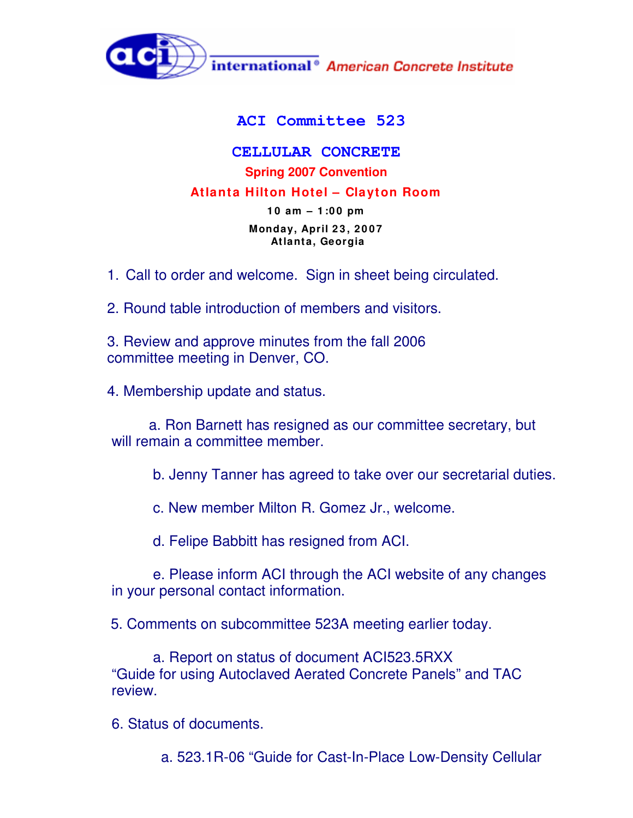

## **ACI Committee 523**

**CELLULAR CONCRETE Spring 2007 Convention Atlanta Hilton Hotel – Clayton Room 1 0 am – 1 :0 0 pm Monday, April 2 3 , 2 0 0 7 Atlanta, Georgia**

1. Call to order and welcome. Sign in sheet being circulated.

2. Round table introduction of members and visitors.

3. Review and approve minutes from the fall 2006 committee meeting in Denver, CO.

4. Membership update and status.

a. Ron Barnett has resigned as our committee secretary, but will remain a committee member.

b. Jenny Tanner has agreed to take over our secretarial duties.

c. New member Milton R. Gomez Jr., welcome.

d. Felipe Babbitt has resigned from ACI.

e. Please inform ACI through the ACI website of any changes in your personal contact information.

5. Comments on subcommittee 523A meeting earlier today.

a. Report on status of document ACI523.5RXX "Guide for using Autoclaved Aerated Concrete Panels" and TAC review.

6. Status of documents.

a. 523.1R-06 "Guide for Cast-In-Place Low-Density Cellular